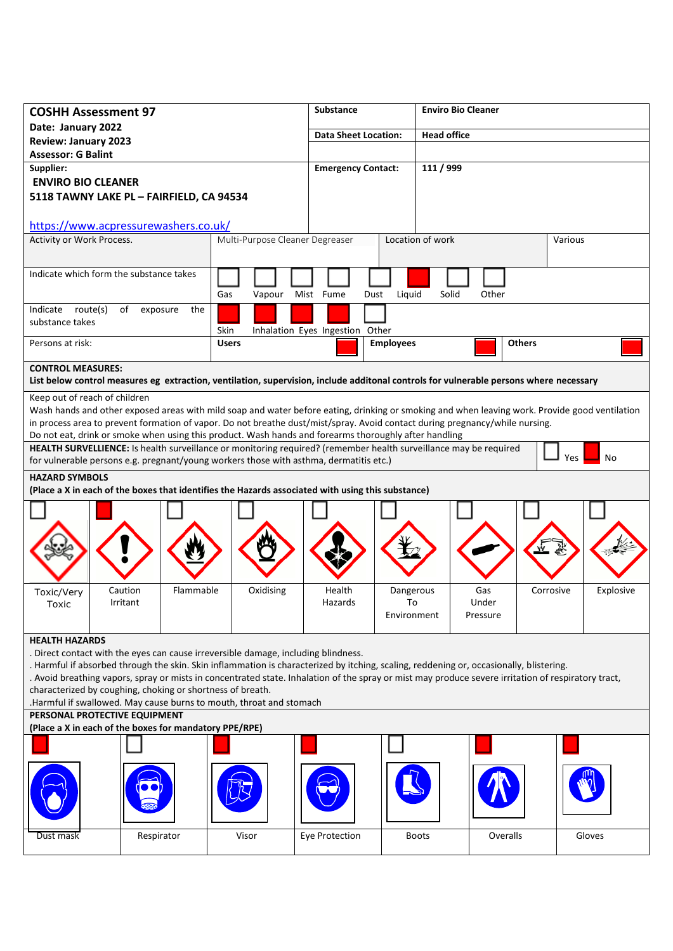| <b>COSHH Assessment 97</b>                                                                                        |                       |                                                                                                                                                     | <b>Substance</b>                |                  | <b>Enviro Bio Cleaner</b> |               |                        |
|-------------------------------------------------------------------------------------------------------------------|-----------------------|-----------------------------------------------------------------------------------------------------------------------------------------------------|---------------------------------|------------------|---------------------------|---------------|------------------------|
| Date: January 2022                                                                                                |                       |                                                                                                                                                     | <b>Data Sheet Location:</b>     |                  | <b>Head office</b>        |               |                        |
| <b>Review: January 2023</b>                                                                                       |                       |                                                                                                                                                     |                                 |                  |                           |               |                        |
| <b>Assessor: G Balint</b>                                                                                         |                       |                                                                                                                                                     |                                 |                  |                           |               |                        |
| Supplier:                                                                                                         |                       |                                                                                                                                                     | <b>Emergency Contact:</b>       |                  | 111 / 999                 |               |                        |
| <b>ENVIRO BIO CLEANER</b>                                                                                         |                       |                                                                                                                                                     |                                 |                  |                           |               |                        |
| 5118 TAWNY LAKE PL - FAIRFIELD, CA 94534                                                                          |                       |                                                                                                                                                     |                                 |                  |                           |               |                        |
|                                                                                                                   |                       |                                                                                                                                                     |                                 |                  |                           |               |                        |
| https://www.acpressurewashers.co.uk/                                                                              |                       |                                                                                                                                                     |                                 |                  |                           |               |                        |
| Activity or Work Process.                                                                                         |                       | Multi-Purpose Cleaner Degreaser                                                                                                                     |                                 |                  | Location of work          |               | Various                |
| Indicate which form the substance takes                                                                           |                       |                                                                                                                                                     |                                 |                  |                           |               |                        |
|                                                                                                                   |                       |                                                                                                                                                     |                                 |                  |                           |               |                        |
|                                                                                                                   |                       | Gas<br>Vapour                                                                                                                                       | Mist Fume<br>Dust               | Liquid           | Solid                     | Other         |                        |
| Indicate route(s)                                                                                                 | of<br>exposure<br>the |                                                                                                                                                     |                                 |                  |                           |               |                        |
| substance takes                                                                                                   |                       |                                                                                                                                                     |                                 |                  |                           |               |                        |
|                                                                                                                   |                       | Skin                                                                                                                                                | Inhalation Eyes Ingestion Other |                  |                           |               |                        |
| Persons at risk:                                                                                                  |                       | <b>Users</b>                                                                                                                                        |                                 | <b>Employees</b> |                           | <b>Others</b> |                        |
| <b>CONTROL MEASURES:</b>                                                                                          |                       |                                                                                                                                                     |                                 |                  |                           |               |                        |
|                                                                                                                   |                       | List below control measures eg extraction, ventilation, supervision, include additonal controls for vulnerable persons where necessary              |                                 |                  |                           |               |                        |
| Keep out of reach of children                                                                                     |                       |                                                                                                                                                     |                                 |                  |                           |               |                        |
|                                                                                                                   |                       | Wash hands and other exposed areas with mild soap and water before eating, drinking or smoking and when leaving work. Provide good ventilation      |                                 |                  |                           |               |                        |
|                                                                                                                   |                       | in process area to prevent formation of vapor. Do not breathe dust/mist/spray. Avoid contact during pregnancy/while nursing.                        |                                 |                  |                           |               |                        |
|                                                                                                                   |                       | Do not eat, drink or smoke when using this product. Wash hands and forearms thoroughly after handling                                               |                                 |                  |                           |               |                        |
| HEALTH SURVELLIENCE: Is health surveillance or monitoring required? (remember health surveillance may be required |                       |                                                                                                                                                     |                                 |                  |                           |               |                        |
|                                                                                                                   |                       | for vulnerable persons e.g. pregnant/young workers those with asthma, dermatitis etc.)                                                              |                                 |                  |                           |               | No<br>Yes              |
| <b>HAZARD SYMBOLS</b>                                                                                             |                       |                                                                                                                                                     |                                 |                  |                           |               |                        |
|                                                                                                                   |                       | (Place a X in each of the boxes that identifies the Hazards associated with using this substance)                                                   |                                 |                  |                           |               |                        |
|                                                                                                                   |                       |                                                                                                                                                     |                                 |                  |                           |               |                        |
|                                                                                                                   |                       |                                                                                                                                                     |                                 |                  |                           |               |                        |
|                                                                                                                   |                       |                                                                                                                                                     |                                 |                  |                           |               |                        |
|                                                                                                                   |                       |                                                                                                                                                     |                                 |                  |                           |               |                        |
|                                                                                                                   |                       |                                                                                                                                                     |                                 |                  |                           |               |                        |
|                                                                                                                   |                       |                                                                                                                                                     |                                 |                  |                           |               |                        |
| Toxic/Very                                                                                                        | Flammable<br>Caution  | Oxidising                                                                                                                                           | Health                          | Dangerous        |                           | Gas           | Explosive<br>Corrosive |
| Toxic                                                                                                             | Irritant              |                                                                                                                                                     | Hazards                         | To               |                           | Under         |                        |
|                                                                                                                   |                       |                                                                                                                                                     |                                 | Environment      |                           | Pressure      |                        |
|                                                                                                                   |                       |                                                                                                                                                     |                                 |                  |                           |               |                        |
| <b>HEALTH HAZARDS</b>                                                                                             |                       |                                                                                                                                                     |                                 |                  |                           |               |                        |
|                                                                                                                   |                       | . Direct contact with the eyes can cause irreversible damage, including blindness.                                                                  |                                 |                  |                           |               |                        |
|                                                                                                                   |                       | . Harmful if absorbed through the skin. Skin inflammation is characterized by itching, scaling, reddening or, occasionally, blistering.             |                                 |                  |                           |               |                        |
|                                                                                                                   |                       | . Avoid breathing vapors, spray or mists in concentrated state. Inhalation of the spray or mist may produce severe irritation of respiratory tract, |                                 |                  |                           |               |                        |
| characterized by coughing, choking or shortness of breath.                                                        |                       |                                                                                                                                                     |                                 |                  |                           |               |                        |
|                                                                                                                   |                       | .Harmful if swallowed. May cause burns to mouth, throat and stomach                                                                                 |                                 |                  |                           |               |                        |
| PERSONAL PROTECTIVE EQUIPMENT                                                                                     |                       |                                                                                                                                                     |                                 |                  |                           |               |                        |
| (Place a X in each of the boxes for mandatory PPE/RPE)                                                            |                       |                                                                                                                                                     |                                 |                  |                           |               |                        |
|                                                                                                                   |                       |                                                                                                                                                     |                                 |                  |                           |               |                        |
|                                                                                                                   |                       |                                                                                                                                                     |                                 |                  |                           |               |                        |
|                                                                                                                   |                       |                                                                                                                                                     |                                 |                  |                           |               |                        |
|                                                                                                                   |                       |                                                                                                                                                     |                                 |                  |                           |               |                        |
|                                                                                                                   |                       |                                                                                                                                                     |                                 |                  |                           |               |                        |
|                                                                                                                   |                       |                                                                                                                                                     |                                 |                  |                           |               |                        |
| Dust mask                                                                                                         | Respirator            | Visor                                                                                                                                               | Eye Protection                  |                  | <b>Boots</b>              | Overalls      | Gloves                 |
|                                                                                                                   |                       |                                                                                                                                                     |                                 |                  |                           |               |                        |